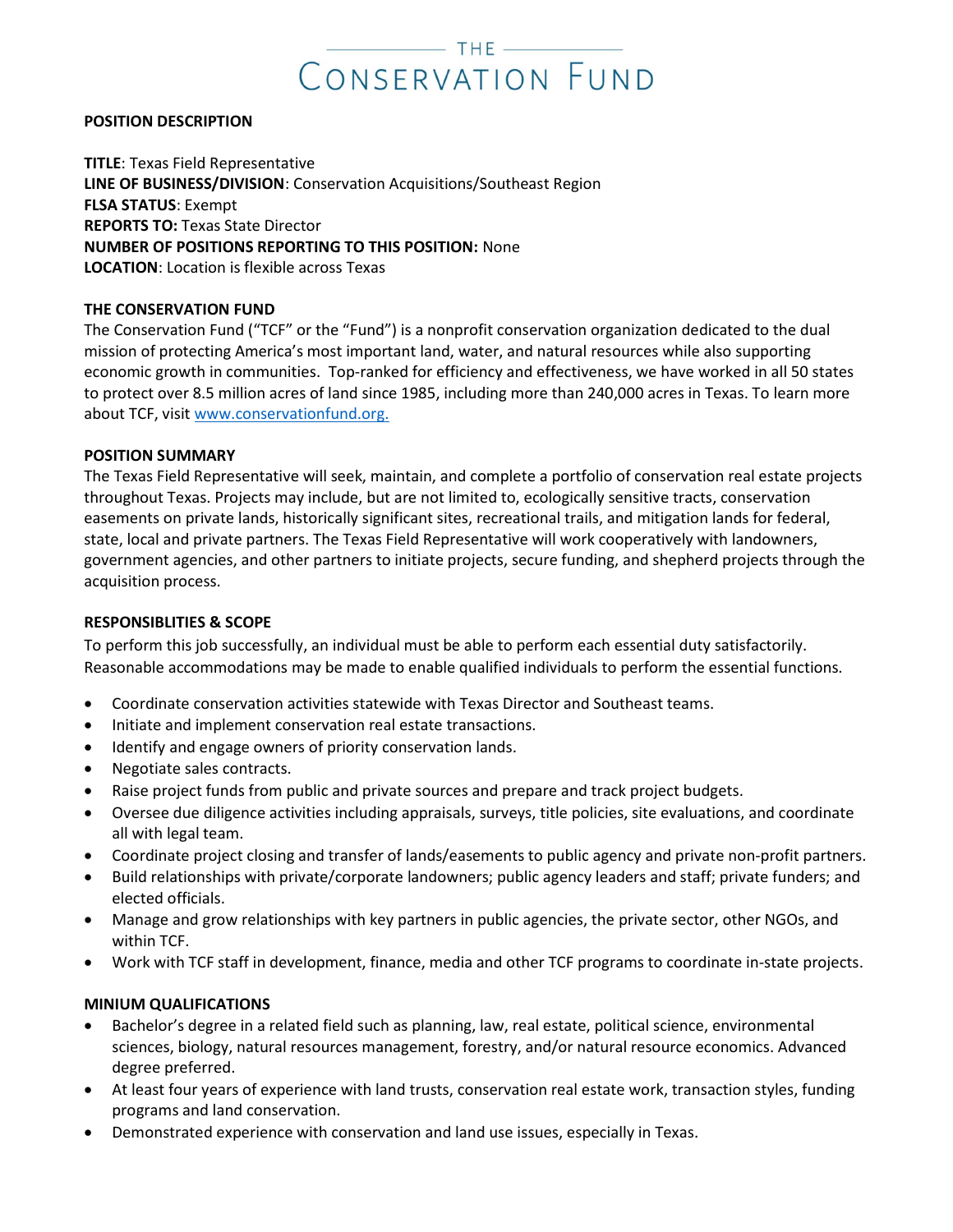# — THE – CONSERVATION FUND

#### POSITION DESCRIPTION

TITLE: Texas Field Representative LINE OF BUSINESS/DIVISION: Conservation Acquisitions/Southeast Region FLSA STATUS: Exempt REPORTS TO: Texas State Director NUMBER OF POSITIONS REPORTING TO THIS POSITION: None LOCATION: Location is flexible across Texas

## THE CONSERVATION FUND

The Conservation Fund ("TCF" or the "Fund") is a nonprofit conservation organization dedicated to the dual mission of protecting America's most important land, water, and natural resources while also supporting economic growth in communities. Top-ranked for efficiency and effectiveness, we have worked in all 50 states to protect over 8.5 million acres of land since 1985, including more than 240,000 acres in Texas. To learn more about TCF, visit www.conservationfund.org.

#### POSITION SUMMARY

The Texas Field Representative will seek, maintain, and complete a portfolio of conservation real estate projects throughout Texas. Projects may include, but are not limited to, ecologically sensitive tracts, conservation easements on private lands, historically significant sites, recreational trails, and mitigation lands for federal, state, local and private partners. The Texas Field Representative will work cooperatively with landowners, government agencies, and other partners to initiate projects, secure funding, and shepherd projects through the acquisition process.

#### RESPONSIBLITIES & SCOPE

To perform this job successfully, an individual must be able to perform each essential duty satisfactorily. Reasonable accommodations may be made to enable qualified individuals to perform the essential functions.

- Coordinate conservation activities statewide with Texas Director and Southeast teams.
- Initiate and implement conservation real estate transactions.
- Identify and engage owners of priority conservation lands.
- Negotiate sales contracts.
- Raise project funds from public and private sources and prepare and track project budgets.
- Oversee due diligence activities including appraisals, surveys, title policies, site evaluations, and coordinate all with legal team.
- Coordinate project closing and transfer of lands/easements to public agency and private non-profit partners.
- Build relationships with private/corporate landowners; public agency leaders and staff; private funders; and elected officials.
- Manage and grow relationships with key partners in public agencies, the private sector, other NGOs, and within TCF.
- Work with TCF staff in development, finance, media and other TCF programs to coordinate in-state projects.

## MINIUM QUALIFICATIONS

- Bachelor's degree in a related field such as planning, law, real estate, political science, environmental sciences, biology, natural resources management, forestry, and/or natural resource economics. Advanced degree preferred.
- At least four years of experience with land trusts, conservation real estate work, transaction styles, funding programs and land conservation.
- Demonstrated experience with conservation and land use issues, especially in Texas.